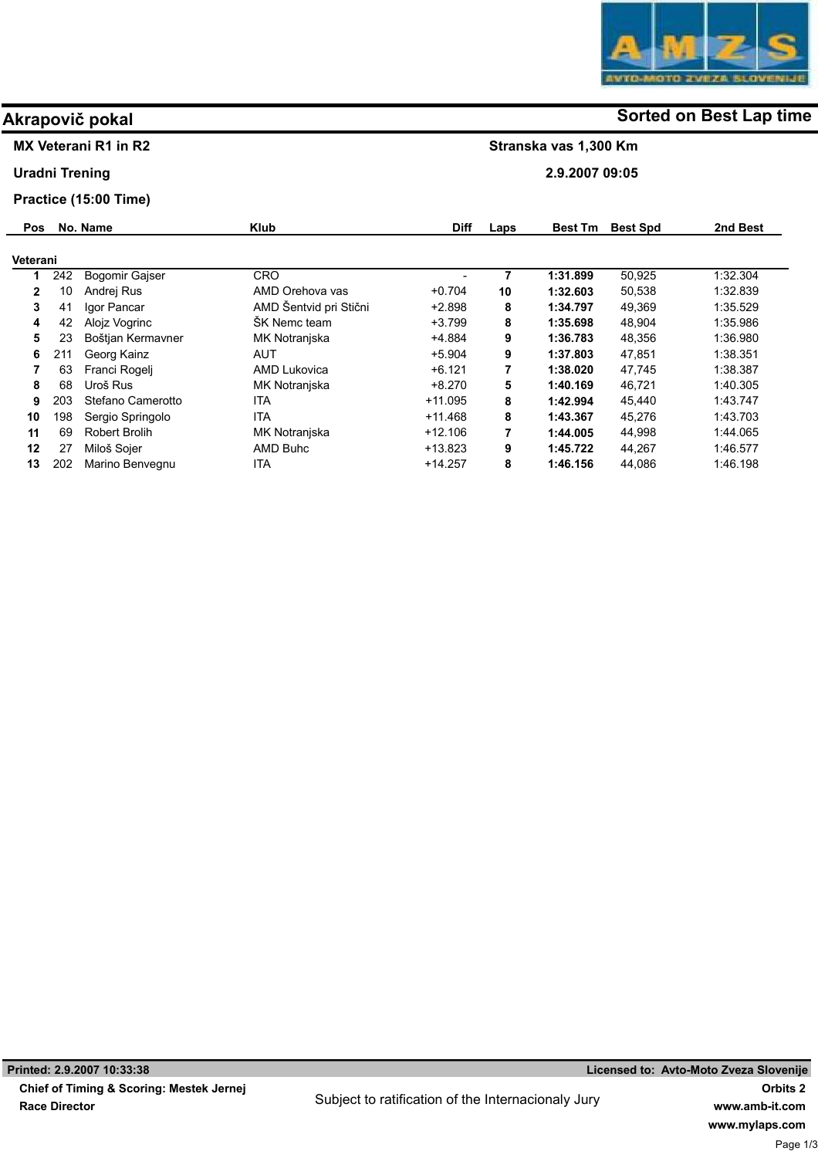Stranska vas 1,300 Km

2.9.2007 09:05

## Akrapovič pokal and some of the solution of the Sorted on Best Lap time

## MX Veterani R1 in R2

Uradni Trening

## Practice (15:00 Time)

| <b>Pos</b>   |     | No. Name              | <b>Klub</b>            | <b>Diff</b> | Laps | <b>Best Tm</b> | <b>Best Spd</b> | 2nd Best |
|--------------|-----|-----------------------|------------------------|-------------|------|----------------|-----------------|----------|
| Veterani     |     |                       |                        |             |      |                |                 |          |
| 1            | 242 | <b>Bogomir Gaiser</b> | <b>CRO</b>             | -           | 7    | 1:31.899       | 50,925          | 1:32.304 |
| $\mathbf{2}$ | 10  | Andrej Rus            | AMD Orehova vas        | $+0.704$    | 10   | 1:32.603       | 50,538          | 1:32.839 |
| 3            | 41  | Igor Pancar           | AMD Šentvid pri Stični | $+2.898$    | 8    | 1:34.797       | 49,369          | 1:35.529 |
| 4            | 42  | Alojz Vogrinc         | ŠK Nemc team           | $+3.799$    | 8    | 1:35.698       | 48.904          | 1:35.986 |
| 5            | 23  | Boštjan Kermavner     | MK Notranjska          | $+4.884$    | 9    | 1:36.783       | 48,356          | 1:36.980 |
| 6            | 211 | Georg Kainz           | <b>AUT</b>             | $+5.904$    | 9    | 1:37.803       | 47,851          | 1:38.351 |
|              | 63  | Franci Rogeli         | <b>AMD Lukovica</b>    | $+6.121$    | 7    | 1:38.020       | 47,745          | 1:38.387 |
| 8            | 68  | Uroš Rus              | MK Notranjska          | $+8.270$    | 5    | 1:40.169       | 46.721          | 1:40.305 |
| 9            | 203 | Stefano Camerotto     | <b>ITA</b>             | $+11.095$   | 8    | 1:42.994       | 45.440          | 1.43.747 |
| 10           | 198 | Sergio Springolo      | <b>ITA</b>             | $+11.468$   | 8    | 1:43.367       | 45.276          | 1:43.703 |
| 11           | 69  | <b>Robert Brolih</b>  | MK Notranjska          | $+12.106$   |      | 1:44.005       | 44,998          | 1.44.065 |
| 12           | 27  | Miloš Sojer           | AMD Buhc               | $+13.823$   | 9    | 1:45.722       | 44.267          | 1:46.577 |
| 13           | 202 | Marino Benvegnu       | ITA                    | $+14.257$   | 8    | 1:46.156       | 44,086          | 1:46.198 |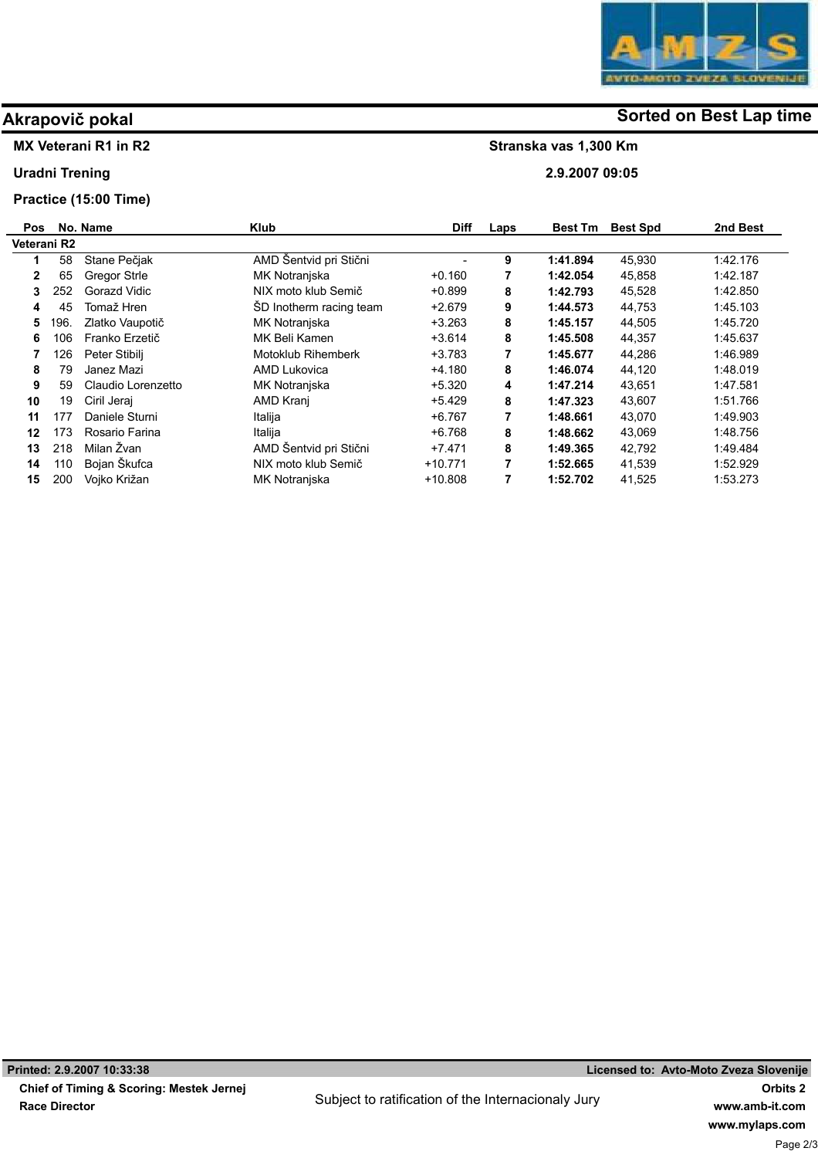## MX Veterani R1 in R2

Uradni Trening

## Practice (15:00 Time)

| <b>Pos</b>   |      | No. Name           | <b>Klub</b>               | <b>Diff</b> | Laps | <b>Best Tm</b> | <b>Best Spd</b> | 2nd Best |  |
|--------------|------|--------------------|---------------------------|-------------|------|----------------|-----------------|----------|--|
| Veterani R2  |      |                    |                           |             |      |                |                 |          |  |
|              | 58   | Stane Pečjak       | AMD Šentvid pri Stični    |             | 9    | 1:41.894       | 45,930          | 1:42.176 |  |
| $\mathbf{2}$ | 65   | Gregor Strle       | MK Notranjska             | $+0.160$    | 7    | 1:42.054       | 45.858          | 1:42.187 |  |
| 3            | 252  | Gorazd Vidic       | NIX moto klub Semič       | $+0.899$    | 8    | 1:42.793       | 45,528          | 1:42.850 |  |
| 4            | 45   | Tomaž Hren         | ŠD Inotherm racing team   | $+2.679$    | 9    | 1:44.573       | 44.753          | 1.45.103 |  |
| 5            | 196. | Zlatko Vaupotič    | MK Notranjska             | $+3.263$    | 8    | 1:45.157       | 44.505          | 1:45.720 |  |
| 6            | 106  | Franko Erzetič     | MK Beli Kamen             | $+3.614$    | 8    | 1:45.508       | 44,357          | 1.45.637 |  |
|              | 126  | Peter Stibilj      | <b>Motoklub Rihemberk</b> | $+3.783$    |      | 1:45.677       | 44,286          | 1:46.989 |  |
| 8            | 79   | Janez Mazi         | <b>AMD Lukovica</b>       | $+4.180$    | 8    | 1:46.074       | 44,120          | 1.48.019 |  |
| 9            | 59   | Claudio Lorenzetto | MK Notranjska             | $+5.320$    | 4    | 1:47.214       | 43,651          | 1:47.581 |  |
| 10           | 19   | Ciril Jeraj        | AMD Kranj                 | $+5.429$    | 8    | 1:47.323       | 43,607          | 1.51.766 |  |
| 11           | 177  | Daniele Sturni     | Italija                   | $+6.767$    | 7    | 1:48.661       | 43,070          | 1.49.903 |  |
| 12           | 173  | Rosario Farina     | Italija                   | $+6.768$    | 8    | 1:48.662       | 43,069          | 1:48.756 |  |
| 13           | 218  | Milan Žvan         | AMD Šentvid pri Stični    | $+7.471$    | 8    | 1:49.365       | 42,792          | 1.49.484 |  |
| 14           | 110  | Bojan Škufca       | NIX moto klub Semič       | $+10.771$   |      | 1:52.665       | 41.539          | 1:52.929 |  |
| 15           | 200  | Vojko Križan       | MK Notranjska             | $+10.808$   |      | 1:52.702       | 41,525          | 1:53.273 |  |



# Akrapovič pokal and some of the solution of the Sorted on Best Lap time

Stranska vas 1,300 Km

2.9.2007 09:05